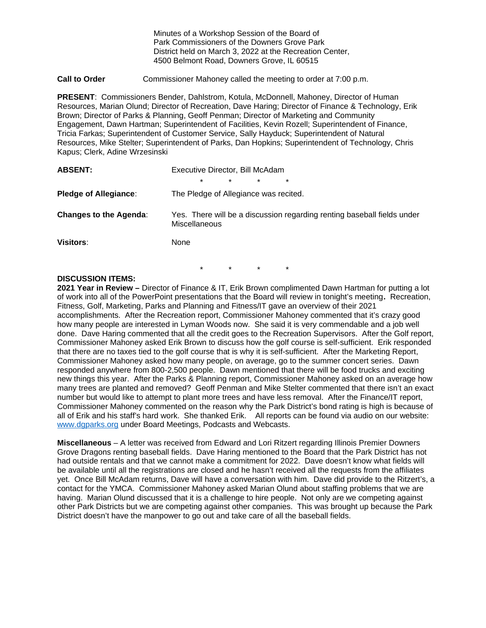Minutes of a Workshop Session of the Board of Park Commissioners of the Downers Grove Park District held on March 3, 2022 at the Recreation Center, 4500 Belmont Road, Downers Grove, IL 60515

**Call to Order** Commissioner Mahoney called the meeting to order at 7:00 p.m.

**PRESENT**: Commissioners Bender, Dahlstrom, Kotula, McDonnell, Mahoney, Director of Human Resources, Marian Olund; Director of Recreation, Dave Haring; Director of Finance & Technology, Erik Brown; Director of Parks & Planning, Geoff Penman; Director of Marketing and Community Engagement, Dawn Hartman; Superintendent of Facilities, Kevin Rozell; Superintendent of Finance, Tricia Farkas; Superintendent of Customer Service, Sally Hayduck; Superintendent of Natural Resources, Mike Stelter; Superintendent of Parks, Dan Hopkins; Superintendent of Technology, Chris Kapus; Clerk, Adine Wrzesinski

| <b>ABSENT:</b>                | Executive Director, Bill McAdam                                                          |
|-------------------------------|------------------------------------------------------------------------------------------|
|                               | $\star$<br>$\star$<br>$\star$<br>$\star$                                                 |
| <b>Pledge of Allegiance:</b>  | The Pledge of Allegiance was recited.                                                    |
| <b>Changes to the Agenda:</b> | Yes. There will be a discussion regarding renting baseball fields under<br>Miscellaneous |
| <b>Visitors:</b>              | None                                                                                     |

\* \* \* \*

## **DISCUSSION ITEMS:**

**2021 Year in Review –** Director of Finance & IT, Erik Brown complimented Dawn Hartman for putting a lot of work into all of the PowerPoint presentations that the Board will review in tonight's meeting**.** Recreation, Fitness, Golf, Marketing, Parks and Planning and Fitness/IT gave an overview of their 2021 accomplishments. After the Recreation report, Commissioner Mahoney commented that it's crazy good how many people are interested in Lyman Woods now. She said it is very commendable and a job well done. Dave Haring commented that all the credit goes to the Recreation Supervisors. After the Golf report, Commissioner Mahoney asked Erik Brown to discuss how the golf course is self-sufficient. Erik responded that there are no taxes tied to the golf course that is why it is self-sufficient. After the Marketing Report, Commissioner Mahoney asked how many people, on average, go to the summer concert series. Dawn responded anywhere from 800-2,500 people. Dawn mentioned that there will be food trucks and exciting new things this year. After the Parks & Planning report, Commissioner Mahoney asked on an average how many trees are planted and removed? Geoff Penman and Mike Stelter commented that there isn't an exact number but would like to attempt to plant more trees and have less removal. After the Finance/IT report, Commissioner Mahoney commented on the reason why the Park District's bond rating is high is because of all of Erik and his staff's hard work. She thanked Erik. All reports can be found via audio on our website: [www.dgparks.org](http://www.dgparks.org/) under Board Meetings, Podcasts and Webcasts.

**Miscellaneous** – A letter was received from Edward and Lori Ritzert regarding Illinois Premier Downers Grove Dragons renting baseball fields. Dave Haring mentioned to the Board that the Park District has not had outside rentals and that we cannot make a commitment for 2022. Dave doesn't know what fields will be available until all the registrations are closed and he hasn't received all the requests from the affiliates yet. Once Bill McAdam returns, Dave will have a conversation with him. Dave did provide to the Ritzert's, a contact for the YMCA. Commissioner Mahoney asked Marian Olund about staffing problems that we are having. Marian Olund discussed that it is a challenge to hire people. Not only are we competing against other Park Districts but we are competing against other companies. This was brought up because the Park District doesn't have the manpower to go out and take care of all the baseball fields.